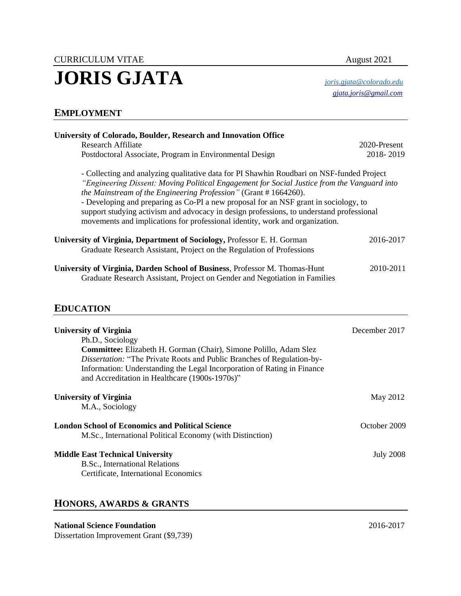# CURRICULUM VITAE August 2021 **JORIS GJATA** *[joris.gjata@colorado.edu](mailto:joris.gjata@colorado.edu)*

 *[gjata.joris@gmail.com](mailto:gjata.joris@gmail.com)*

## **EMPLOYMENT**

| University of Colorado, Boulder, Research and Innovation Office                                                                                                                                                                                                                                                                                                                                                                                                                                                                 |                 |
|---------------------------------------------------------------------------------------------------------------------------------------------------------------------------------------------------------------------------------------------------------------------------------------------------------------------------------------------------------------------------------------------------------------------------------------------------------------------------------------------------------------------------------|-----------------|
| Research Affiliate                                                                                                                                                                                                                                                                                                                                                                                                                                                                                                              | $2020$ -Present |
| Postdoctoral Associate, Program in Environmental Design                                                                                                                                                                                                                                                                                                                                                                                                                                                                         | 2018-2019       |
| - Collecting and analyzing qualitative data for PI Shawhin Roudbari on NSF-funded Project<br>"Engineering Dissent: Moving Political Engagement for Social Justice from the Vanguard into<br>the Mainstream of the Engineering Profession" (Grant #1664260).<br>- Developing and preparing as Co-PI a new proposal for an NSF grant in sociology, to<br>support studying activism and advocacy in design professions, to understand professional<br>movements and implications for professional identity, work and organization. |                 |
| University of Virginia, Department of Sociology, Professor E. H. Gorman<br>Graduate Research Assistant, Project on the Regulation of Professions                                                                                                                                                                                                                                                                                                                                                                                | 2016-2017       |
| University of Virginia, Darden School of Business, Professor M. Thomas-Hunt<br>Graduate Research Assistant, Project on Gender and Negotiation in Families                                                                                                                                                                                                                                                                                                                                                                       | 2010-2011       |

### **EDUCATION**

| <b>University of Virginia</b><br>Ph.D., Sociology<br><b>Committee:</b> Elizabeth H. Gorman (Chair), Simone Polillo, Adam Slez<br><i>Dissertation:</i> "The Private Roots and Public Branches of Regulation-by-<br>Information: Understanding the Legal Incorporation of Rating in Finance<br>and Accreditation in Healthcare (1900s-1970s)" | December 2017    |
|---------------------------------------------------------------------------------------------------------------------------------------------------------------------------------------------------------------------------------------------------------------------------------------------------------------------------------------------|------------------|
| <b>University of Virginia</b><br>M.A., Sociology                                                                                                                                                                                                                                                                                            | May 2012         |
| <b>London School of Economics and Political Science</b><br>M.Sc., International Political Economy (with Distinction)                                                                                                                                                                                                                        | October 2009     |
| <b>Middle East Technical University</b><br>B.Sc., International Relations<br>Certificate, International Economics                                                                                                                                                                                                                           | <b>July 2008</b> |

#### **HONORS, AWARDS & GRANTS**

#### **National Science Foundation** 2016-2017

Dissertation Improvement Grant (\$9,739)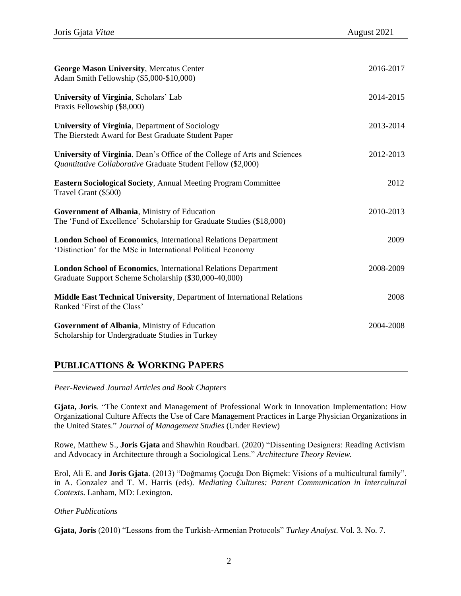| <b>George Mason University, Mercatus Center</b><br>Adam Smith Fellowship (\$5,000-\$10,000)                                               | 2016-2017 |
|-------------------------------------------------------------------------------------------------------------------------------------------|-----------|
| University of Virginia, Scholars' Lab<br>Praxis Fellowship (\$8,000)                                                                      | 2014-2015 |
| University of Virginia, Department of Sociology<br>The Bierstedt Award for Best Graduate Student Paper                                    | 2013-2014 |
| University of Virginia, Dean's Office of the College of Arts and Sciences<br>Quantitative Collaborative Graduate Student Fellow (\$2,000) | 2012-2013 |
| <b>Eastern Sociological Society, Annual Meeting Program Committee</b><br>Travel Grant (\$500)                                             | 2012      |
| Government of Albania, Ministry of Education<br>The 'Fund of Excellence' Scholarship for Graduate Studies (\$18,000)                      | 2010-2013 |
| <b>London School of Economics, International Relations Department</b><br>'Distinction' for the MSc in International Political Economy     | 2009      |
| <b>London School of Economics, International Relations Department</b><br>Graduate Support Scheme Scholarship (\$30,000-40,000)            | 2008-2009 |
| Middle East Technical University, Department of International Relations<br>Ranked 'First of the Class'                                    | 2008      |
| Government of Albania, Ministry of Education<br>Scholarship for Undergraduate Studies in Turkey                                           | 2004-2008 |

### **PUBLICATIONS & WORKING PAPERS**

*Peer-Reviewed Journal Articles and Book Chapters*

**Gjata, Joris**. "The Context and Management of Professional Work in Innovation Implementation: How Organizational Culture Affects the Use of Care Management Practices in Large Physician Organizations in the United States." *Journal of Management Studies* (Under Review)

Rowe, Matthew S., **Joris Gjata** and Shawhin Roudbari. (2020) "Dissenting Designers: Reading Activism and Advocacy in Architecture through a Sociological Lens." *Architecture Theory Review.*

Erol, Ali E. and **Joris Gjata**. (2013) "Doğmamış Çocuğa Don Biçmek: Visions of a multicultural family". in A. Gonzalez and T. M. Harris (eds). *Mediating Cultures: Parent Communication in Intercultural Contexts*. Lanham, MD: Lexington.

#### *Other Publications*

**Gjata, Joris** (2010) "Lessons from the Turkish-Armenian Protocols" *Turkey Analyst*. Vol. 3. No. 7.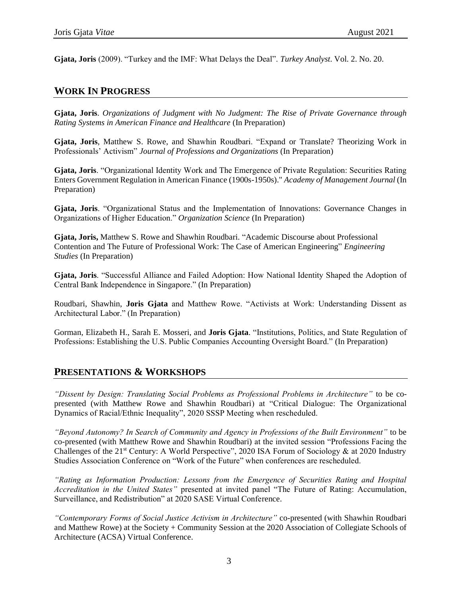**Gjata, Joris** (2009). "Turkey and the IMF: What Delays the Deal". *Turkey Analyst*. Vol. 2. No. 20.

#### **WORK IN PROGRESS**

**Gjata, Joris**. *Organizations of Judgment with No Judgment: The Rise of Private Governance through Rating Systems in American Finance and Healthcare* (In Preparation)

**Gjata, Joris**, Matthew S. Rowe, and Shawhin Roudbari. "Expand or Translate? Theorizing Work in Professionals' Activism" *Journal of Professions and Organizations* (In Preparation)

**Gjata, Joris**. "Organizational Identity Work and The Emergence of Private Regulation: Securities Rating Enters Government Regulation in American Finance (1900s-1950s)." *Academy of Management Journal* (In Preparation)

**Gjata, Joris**. "Organizational Status and the Implementation of Innovations: Governance Changes in Organizations of Higher Education." *Organization Science* (In Preparation)

**Gjata, Joris,** Matthew S. Rowe and Shawhin Roudbari. "Academic Discourse about Professional Contention and The Future of Professional Work: The Case of American Engineering" *Engineering Studies* (In Preparation)

**Gjata, Joris**. "Successful Alliance and Failed Adoption: How National Identity Shaped the Adoption of Central Bank Independence in Singapore." (In Preparation)

Roudbari, Shawhin, **Joris Gjata** and Matthew Rowe. "Activists at Work: Understanding Dissent as Architectural Labor." (In Preparation)

Gorman, Elizabeth H., Sarah E. Mosseri, and **Joris Gjata**. "Institutions, Politics, and State Regulation of Professions: Establishing the U.S. Public Companies Accounting Oversight Board." (In Preparation)

#### **PRESENTATIONS & WORKSHOPS**

*"Dissent by Design: Translating Social Problems as Professional Problems in Architecture"* to be copresented (with Matthew Rowe and Shawhin Roudbari) at "Critical Dialogue: The Organizational Dynamics of Racial/Ethnic Inequality", 2020 SSSP Meeting when rescheduled.

*"Beyond Autonomy? In Search of Community and Agency in Professions of the Built Environment"* to be co-presented (with Matthew Rowe and Shawhin Roudbari) at the invited session "Professions Facing the Challenges of the  $21^{st}$  Century: A World Perspective", 2020 ISA Forum of Sociology & at 2020 Industry Studies Association Conference on "Work of the Future" when conferences are rescheduled.

*"Rating as Information Production: Lessons from the Emergence of Securities Rating and Hospital Accreditation in the United States"* presented at invited panel "The Future of Rating: Accumulation, Surveillance, and Redistribution" at 2020 SASE Virtual Conference.

*"Contemporary Forms of Social Justice Activism in Architecture"* co-presented (with Shawhin Roudbari and Matthew Rowe) at the Society + Community Session at the 2020 Association of Collegiate Schools of Architecture (ACSA) Virtual Conference.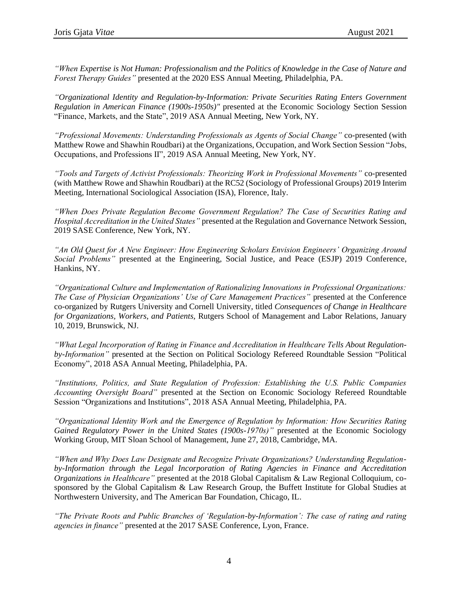*"When Expertise is Not Human: Professionalism and the Politics of Knowledge in the Case of Nature and Forest Therapy Guides"* presented at the 2020 ESS Annual Meeting, Philadelphia, PA.

*"Organizational Identity and Regulation-by-Information: Private Securities Rating Enters Government Regulation in American Finance (1900s-1950s)"* presented at the Economic Sociology Section Session "Finance, Markets, and the State", 2019 ASA Annual Meeting, New York, NY.

*"Professional Movements: Understanding Professionals as Agents of Social Change"* co-presented (with Matthew Rowe and Shawhin Roudbari) at the Organizations, Occupation, and Work Section Session "Jobs, Occupations, and Professions II", 2019 ASA Annual Meeting, New York, NY.

*"Tools and Targets of Activist Professionals: Theorizing Work in Professional Movements"* co-presented (with Matthew Rowe and Shawhin Roudbari) at the RC52 (Sociology of Professional Groups) 2019 Interim Meeting, International Sociological Association (ISA), Florence, Italy.

*"When Does Private Regulation Become Government Regulation? The Case of Securities Rating and Hospital Accreditation in the United States"* presented at the Regulation and Governance Network Session, 2019 SASE Conference, New York, NY.

*"An Old Quest for A New Engineer: How Engineering Scholars Envision Engineers' Organizing Around Social Problems"* presented at the Engineering, Social Justice, and Peace (ESJP) 2019 Conference, Hankins, NY.

*"Organizational Culture and Implementation of Rationalizing Innovations in Professional Organizations: The Case of Physician Organizations' Use of Care Management Practices"* presented at the Conference co-organized by Rutgers University and Cornell University, titled *Consequences of Change in Healthcare for Organizations, Workers, and Patients,* Rutgers School of Management and Labor Relations, January 10, 2019, Brunswick, NJ.

*"What Legal Incorporation of Rating in Finance and Accreditation in Healthcare Tells About Regulationby-Information"* presented at the Section on Political Sociology Refereed Roundtable Session "Political Economy", 2018 ASA Annual Meeting, Philadelphia, PA.

*"Institutions, Politics, and State Regulation of Profession: Establishing the U.S. Public Companies Accounting Oversight Board"* presented at the Section on Economic Sociology Refereed Roundtable Session "Organizations and Institutions", 2018 ASA Annual Meeting, Philadelphia, PA.

*"Organizational Identity Work and the Emergence of Regulation by Information: How Securities Rating Gained Regulatory Power in the United States (1900s-1970s)"* presented at the Economic Sociology Working Group, MIT Sloan School of Management, June 27, 2018, Cambridge, MA.

*"When and Why Does Law Designate and Recognize Private Organizations? Understanding Regulationby-Information through the Legal Incorporation of Rating Agencies in Finance and Accreditation Organizations in Healthcare"* presented at the 2018 Global Capitalism & Law Regional Colloquium, cosponsored by the Global Capitalism & Law Research Group, the Buffett Institute for Global Studies at Northwestern University, and The American Bar Foundation, Chicago, IL.

*"The Private Roots and Public Branches of 'Regulation-by-Information': The case of rating and rating agencies in finance"* presented at the 2017 SASE Conference, Lyon, France.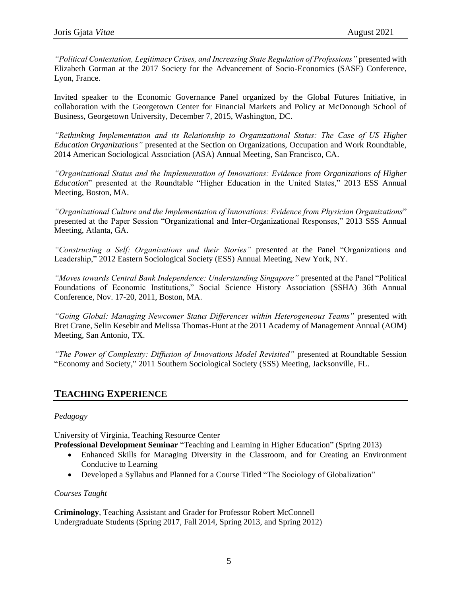*"Political Contestation, Legitimacy Crises, and Increasing State Regulation of Professions"* presented with Elizabeth Gorman at the 2017 Society for the Advancement of Socio-Economics (SASE) Conference, Lyon, France.

Invited speaker to the Economic Governance Panel organized by the Global Futures Initiative, in collaboration with the Georgetown Center for Financial Markets and Policy at McDonough School of Business, Georgetown University, December 7, 2015, Washington, DC.

*"Rethinking Implementation and its Relationship to Organizational Status: The Case of US Higher Education Organizations"* presented at the Section on Organizations, Occupation and Work Roundtable, 2014 American Sociological Association (ASA) Annual Meeting, San Francisco, CA.

*"Organizational Status and the Implementation of Innovations: Evidence from Organizations of Higher Education*" presented at the Roundtable "Higher Education in the United States," 2013 ESS Annual Meeting, Boston, MA.

*"Organizational Culture and the Implementation of Innovations: Evidence from Physician Organizations*" presented at the Paper Session "Organizational and Inter-Organizational Responses," 2013 SSS Annual Meeting, Atlanta, GA.

*"Constructing a Self: Organizations and their Stories"* presented at the Panel "Organizations and Leadership," 2012 Eastern Sociological Society (ESS) Annual Meeting, New York, NY.

*"Moves towards Central Bank Independence: Understanding Singapore"* presented at the Panel "Political Foundations of Economic Institutions," Social Science History Association (SSHA) 36th Annual Conference, Nov. 17-20, 2011, Boston, MA.

*"Going Global: Managing Newcomer Status Differences within Heterogeneous Teams"* presented with Bret Crane, Selin Kesebir and Melissa Thomas-Hunt at the 2011 Academy of Management Annual (AOM) Meeting, San Antonio, TX.

*"The Power of Complexity: Diffusion of Innovations Model Revisited"* presented at Roundtable Session "Economy and Society," 2011 Southern Sociological Society (SSS) Meeting, Jacksonville, FL.

## **TEACHING EXPERIENCE**

#### *Pedagogy*

University of Virginia, Teaching Resource Center

- **Professional Development Seminar** "Teaching and Learning in Higher Education" (Spring 2013)
	- Enhanced Skills for Managing Diversity in the Classroom, and for Creating an Environment Conducive to Learning
	- Developed a Syllabus and Planned for a Course Titled "The Sociology of Globalization"

#### *Courses Taught*

**Criminology***,* Teaching Assistant and Grader for Professor Robert McConnell Undergraduate Students (Spring 2017, Fall 2014, Spring 2013, and Spring 2012)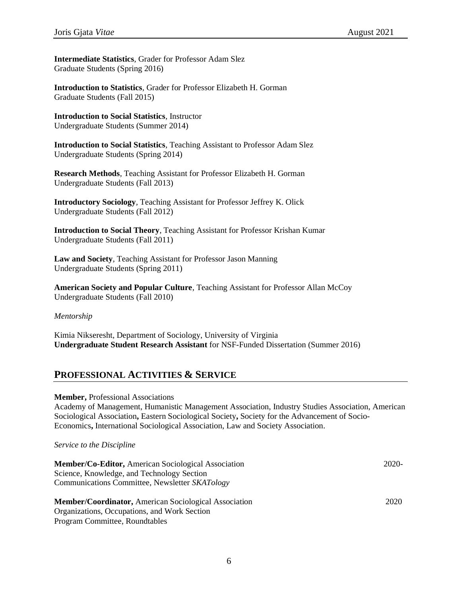**Intermediate Statistics***,* Grader for Professor Adam Slez Graduate Students (Spring 2016)

**Introduction to Statistics***,* Grader for Professor Elizabeth H. Gorman Graduate Students (Fall 2015)

**Introduction to Social Statistics***,* Instructor Undergraduate Students (Summer 2014)

**Introduction to Social Statistics***,* Teaching Assistant to Professor Adam Slez Undergraduate Students (Spring 2014)

**Research Methods***,* Teaching Assistant for Professor Elizabeth H. Gorman Undergraduate Students (Fall 2013)

**Introductory Sociology***,* Teaching Assistant for Professor Jeffrey K. Olick Undergraduate Students (Fall 2012)

**Introduction to Social Theory***,* Teaching Assistant for Professor Krishan Kumar Undergraduate Students (Fall 2011)

**Law and Society***,* Teaching Assistant for Professor Jason Manning Undergraduate Students (Spring 2011)

**American Society and Popular Culture***,* Teaching Assistant for Professor Allan McCoy Undergraduate Students (Fall 2010)

*Mentorship*

Kimia Nikseresht, Department of Sociology, University of Virginia **Undergraduate Student Research Assistant** for NSF-Funded Dissertation (Summer 2016)

#### **PROFESSIONAL ACTIVITIES & SERVICE**

**Member,** Professional Associations

Academy of Management, Humanistic Management Association, Industry Studies Association, American Sociological Association**,** Eastern Sociological Society**,** Society for the Advancement of Socio-Economics**,** International Sociological Association, Law and Society Association.

*Service to the Discipline* 

| Member/Co-Editor, American Sociological Association          | 2020- |
|--------------------------------------------------------------|-------|
| Science, Knowledge, and Technology Section                   |       |
| Communications Committee, Newsletter SKATology               |       |
| <b>Member/Coordinator, American Sociological Association</b> | 2020  |

Organizations, Occupations, and Work Section Program Committee, Roundtables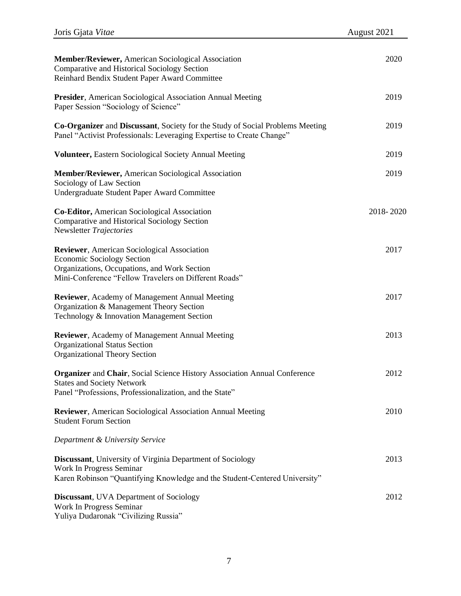| <b>Member/Reviewer, American Sociological Association</b><br>Comparative and Historical Sociology Section<br>Reinhard Bendix Student Paper Award Committee                                        | 2020      |
|---------------------------------------------------------------------------------------------------------------------------------------------------------------------------------------------------|-----------|
| <b>Presider</b> , American Sociological Association Annual Meeting<br>Paper Session "Sociology of Science"                                                                                        | 2019      |
| Co-Organizer and Discussant, Society for the Study of Social Problems Meeting<br>Panel "Activist Professionals: Leveraging Expertise to Create Change"                                            | 2019      |
| <b>Volunteer, Eastern Sociological Society Annual Meeting</b>                                                                                                                                     | 2019      |
| <b>Member/Reviewer, American Sociological Association</b><br>Sociology of Law Section<br>Undergraduate Student Paper Award Committee                                                              | 2019      |
| Co-Editor, American Sociological Association<br>Comparative and Historical Sociology Section<br>Newsletter Trajectories                                                                           | 2018-2020 |
| <b>Reviewer</b> , American Sociological Association<br><b>Economic Sociology Section</b><br>Organizations, Occupations, and Work Section<br>Mini-Conference "Fellow Travelers on Different Roads" | 2017      |
| <b>Reviewer</b> , Academy of Management Annual Meeting<br>Organization & Management Theory Section<br>Technology & Innovation Management Section                                                  | 2017      |
| <b>Reviewer</b> , Academy of Management Annual Meeting<br><b>Organizational Status Section</b><br><b>Organizational Theory Section</b>                                                            | 2013      |
| <b>Organizer and Chair, Social Science History Association Annual Conference</b><br><b>States and Society Network</b><br>Panel "Professions, Professionalization, and the State"                  | 2012      |
| <b>Reviewer</b> , American Sociological Association Annual Meeting<br><b>Student Forum Section</b>                                                                                                | 2010      |
| Department & University Service                                                                                                                                                                   |           |
| <b>Discussant</b> , University of Virginia Department of Sociology<br>Work In Progress Seminar<br>Karen Robinson "Quantifying Knowledge and the Student-Centered University"                      | 2013      |
| <b>Discussant</b> , UVA Department of Sociology<br>Work In Progress Seminar<br>Yuliya Dudaronak "Civilizing Russia"                                                                               | 2012      |